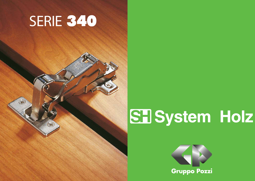## SERIE 340

# **SEI System Holz**



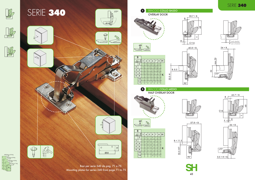



2500 fino a 20 Kg. fino a 16 Kg. 1600 fino a 13 Kg. 900 fino a 7 Kg.  $\circ$   $\circ$ 

Mounting plates for series 340 from page 71 to 75

#### SERIE 340